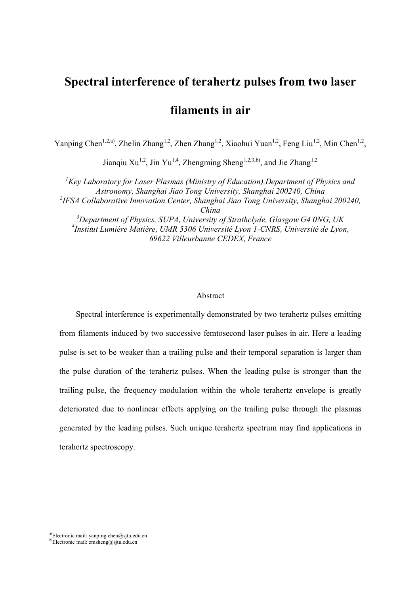## **Spectral interference of terahertz pulses from two laser**

# **filaments in air**

Yanping Chen<sup>1,2,a)</sup>, Zhelin Zhang<sup>1,2</sup>, Zhen Zhang<sup>1,2</sup>, Xiaohui Yuan<sup>1,2</sup>, Feng Liu<sup>1,2</sup>, Min Chen<sup>1,2</sup>,

Jianqiu Xu<sup>1,2</sup>, Jin Yu<sup>1,4</sup>, Zhengming Sheng<sup>1,2,3,b)</sup>, and Jie Zhang<sup>1,2</sup>

*<sup>1</sup>Key Laboratory for Laser Plasmas (Ministry of Education),Department of Physics and Astronomy, Shanghai Jiao Tong University, Shanghai 200240, China 2 IFSA Collaborative Innovation Center, Shanghai Jiao Tong University, Shanghai 200240, China <sup>3</sup>Department of Physics, SUPA, University of Strathclyde, Glasgow G4 0NG, UK 4 Institut Lumière Matière, UMR 5306 Université Lyon 1-CNRS, Université de Lyon, 69622 Villeurbanne CEDEX, France*

#### Abstract

Spectral interference is experimentally demonstrated by two terahertz pulses emitting from filaments induced by two successive femtosecond laser pulses in air. Here a leading pulse is set to be weaker than a trailing pulse and their temporal separation is larger than the pulse duration of the terahertz pulses. When the leading pulse is stronger than the trailing pulse, the frequency modulation within the whole terahertz envelope is greatly deteriorated due to nonlinear effects applying on the trailing pulse through the plasmas generated by the leading pulses. Such unique terahertz spectrum may find applications in terahertz spectroscopy.

a)Electronic mail: yanping.chen@sjtu.edu.cn b)Electronic mail: zmsheng@sjtu.edu.cn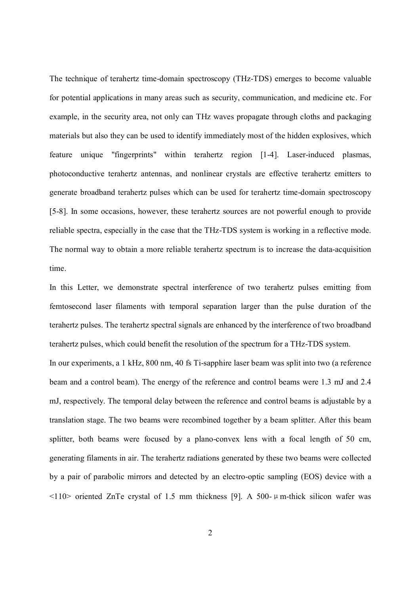The technique of terahertz time-domain spectroscopy (THz-TDS) emerges to become valuable for potential applications in many areas such as security, communication, and medicine etc. For example, in the security area, not only can THz waves propagate through cloths and packaging materials but also they can be used to identify immediately most of the hidden explosives, which feature unique "fingerprints" within terahertz region [1-4]. Laser-induced plasmas, photoconductive terahertz antennas, and nonlinear crystals are effective terahertz emitters to generate broadband terahertz pulses which can be used for terahertz time-domain spectroscopy [5-8]. In some occasions, however, these terahertz sources are not powerful enough to provide reliable spectra, especially in the case that the THz-TDS system is working in a reflective mode. The normal way to obtain a more reliable terahertz spectrum is to increase the data-acquisition time.

In this Letter, we demonstrate spectral interference of two terahertz pulses emitting from femtosecond laser filaments with temporal separation larger than the pulse duration of the terahertz pulses. The terahertz spectral signals are enhanced by the interference of two broadband terahertz pulses, which could benefit the resolution of the spectrum for a THz-TDS system. In our experiments, a 1 kHz, 800 nm, 40 fs Ti-sapphire laser beam was split into two (a reference beam and a control beam). The energy of the reference and control beams were 1.3 mJ and 2.4 mJ, respectively. The temporal delay between the reference and control beams is adjustable by a translation stage. The two beams were recombined together by a beam splitter. After this beam splitter, both beams were focused by a plano-convex lens with a focal length of 50 cm, generating filaments in air. The terahertz radiations generated by these two beams were collected by a pair of parabolic mirrors and detected by an electro-optic sampling (EOS) device with a  $\langle 110 \rangle$  oriented ZnTe crystal of 1.5 mm thickness [9]. A 500- $\mu$  m-thick silicon wafer was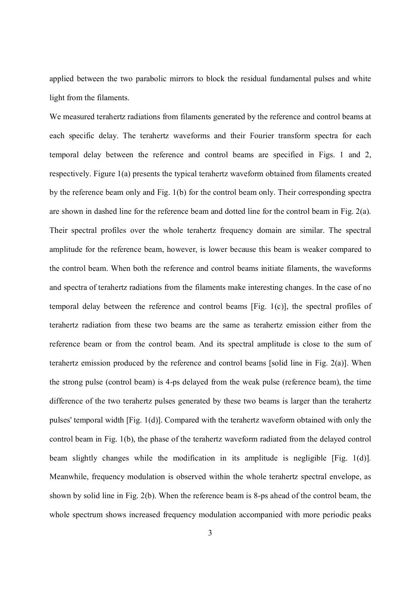applied between the two parabolic mirrors to block the residual fundamental pulses and white light from the filaments.

We measured terahertz radiations from filaments generated by the reference and control beams at each specific delay. The terahertz waveforms and their Fourier transform spectra for each temporal delay between the reference and control beams are specified in Figs. 1 and 2, respectively. Figure 1(a) presents the typical terahertz waveform obtained from filaments created by the reference beam only and Fig. 1(b) for the control beam only. Their corresponding spectra are shown in dashed line for the reference beam and dotted line for the control beam in Fig.  $2(a)$ . Their spectral profiles over the whole terahertz frequency domain are similar. The spectral amplitude for the reference beam, however, is lower because this beam is weaker compared to the control beam. When both the reference and control beams initiate filaments, the waveforms and spectra of terahertz radiations from the filaments make interesting changes. In the case of no temporal delay between the reference and control beams [Fig. 1(c)], the spectral profiles of terahertz radiation from these two beams are the same as terahertz emission either from the reference beam or from the control beam. And its spectral amplitude is close to the sum of terahertz emission produced by the reference and control beams [solid line in Fig. 2(a)]. When the strong pulse (control beam) is 4-ps delayed from the weak pulse (reference beam), the time difference of the two terahertz pulses generated by these two beams is larger than the terahertz pulses' temporal width [Fig. 1(d)]. Compared with the terahertz waveform obtained with only the control beam in Fig. 1(b), the phase of the terahertz waveform radiated from the delayed control beam slightly changes while the modification in its amplitude is negligible [Fig. 1(d)]. Meanwhile, frequency modulation is observed within the whole terahertz spectral envelope, as shown by solid line in Fig. 2(b). When the reference beam is 8-ps ahead of the control beam, the whole spectrum shows increased frequency modulation accompanied with more periodic peaks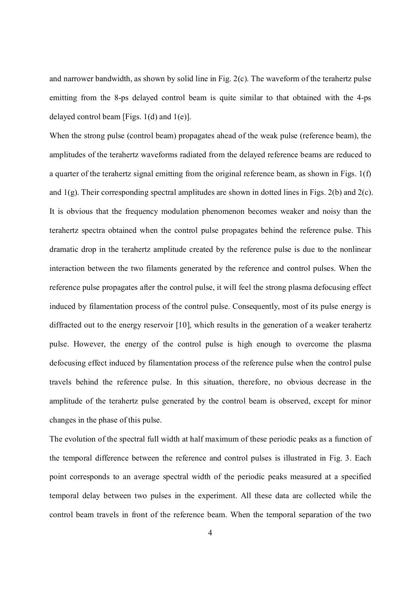and narrower bandwidth, as shown by solid line in Fig. 2(c). The waveform of the terahertz pulse emitting from the 8-ps delayed control beam is quite similar to that obtained with the 4-ps delayed control beam [Figs. 1(d) and 1(e)].

When the strong pulse (control beam) propagates ahead of the weak pulse (reference beam), the amplitudes of the terahertz waveforms radiated from the delayed reference beams are reduced to a quarter of the terahertz signal emitting from the original reference beam, as shown in Figs. 1(f) and 1(g). Their corresponding spectral amplitudes are shown in dotted lines in Figs. 2(b) and 2(c). It is obvious that the frequency modulation phenomenon becomes weaker and noisy than the terahertz spectra obtained when the control pulse propagates behind the reference pulse. This dramatic drop in the terahertz amplitude created by the reference pulse is due to the nonlinear interaction between the two filaments generated by the reference and control pulses. When the reference pulse propagates after the control pulse, it will feel the strong plasma defocusing effect induced by filamentation process of the control pulse. Consequently, most of its pulse energy is diffracted out to the energy reservoir [10], which results in the generation of a weaker terahertz pulse. However, the energy of the control pulse is high enough to overcome the plasma defocusing effect induced by filamentation process of the reference pulse when the control pulse travels behind the reference pulse. In this situation, therefore, no obvious decrease in the amplitude of the terahertz pulse generated by the control beam is observed, except for minor changes in the phase of this pulse.

The evolution of the spectral full width at half maximum of these periodic peaks as a function of the temporal difference between the reference and control pulses is illustrated in Fig. 3. Each point corresponds to an average spectral width of the periodic peaks measured at a specified temporal delay between two pulses in the experiment. All these data are collected while the control beam travels in front of the reference beam. When the temporal separation of the two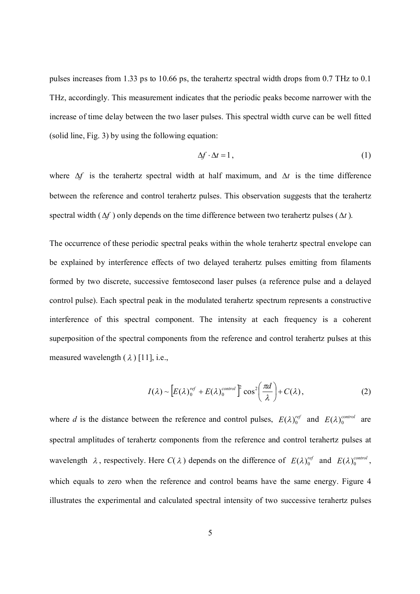pulses increases from 1.33 ps to 10.66 ps, the terahertz spectral width drops from 0.7 THz to 0.1 THz, accordingly. This measurement indicates that the periodic peaks become narrower with the increase of time delay between the two laser pulses. This spectral width curve can be well fitted (solid line, Fig. 3) by using the following equation:

$$
\Delta f \cdot \Delta t = 1, \tag{1}
$$

where  $\Delta f$  is the terahertz spectral width at half maximum, and  $\Delta t$  is the time difference between the reference and control terahertz pulses. This observation suggests that the terahertz spectral width  $(f \Delta f)$  only depends on the time difference between two terahertz pulses  $(f \Delta t)$ .

The occurrence of these periodic spectral peaks within the whole terahertz spectral envelope can be explained by interference effects of two delayed terahertz pulses emitting from filaments formed by two discrete, successive femtosecond laser pulses (a reference pulse and a delayed control pulse). Each spectral peak in the modulated terahertz spectrum represents a constructive interference of this spectral component. The intensity at each frequency is a coherent superposition of the spectral components from the reference and control terahertz pulses at this measured wavelength  $(\lambda)$  [11], i.e.,

$$
I(\lambda) \sim \left[ E(\lambda)_0^{ref} + E(\lambda)_0^{control} \right]^2 \cos^2\left(\frac{\pi d}{\lambda}\right) + C(\lambda), \tag{2}
$$

where *d* is the distance between the reference and control pulses,  $E(\lambda)_{0}^{ref}$  and  $E(\lambda)_{0}^{control}$  are spectral amplitudes of terahertz components from the reference and control terahertz pulses at wavelength  $\lambda$ , respectively. Here  $C(\lambda)$  depends on the difference of  $E(\lambda)_{0}^{ref}$  and  $E(\lambda)_{0}^{control}$ , which equals to zero when the reference and control beams have the same energy. Figure 4 illustrates the experimental and calculated spectral intensity of two successive terahertz pulses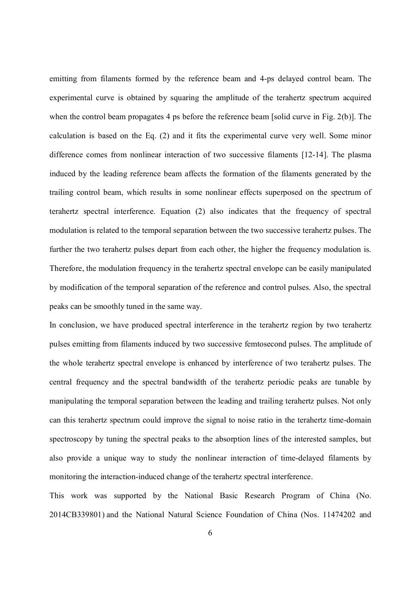emitting from filaments formed by the reference beam and 4-ps delayed control beam. The experimental curve is obtained by squaring the amplitude of the terahertz spectrum acquired when the control beam propagates 4 ps before the reference beam [solid curve in Fig. 2(b)]. The calculation is based on the Eq. (2) and it fits the experimental curve very well. Some minor difference comes from nonlinear interaction of two successive filaments [12-14]. The plasma induced by the leading reference beam affects the formation of the filaments generated by the trailing control beam, which results in some nonlinear effects superposed on the spectrum of terahertz spectral interference. Equation (2) also indicates that the frequency of spectral modulation is related to the temporal separation between the two successive terahertz pulses. The further the two terahertz pulses depart from each other, the higher the frequency modulation is. Therefore, the modulation frequency in the terahertz spectral envelope can be easily manipulated by modification of the temporal separation of the reference and control pulses. Also, the spectral peaks can be smoothly tuned in the same way.

In conclusion, we have produced spectral interference in the terahertz region by two terahertz pulses emitting from filaments induced by two successive femtosecond pulses. The amplitude of the whole terahertz spectral envelope is enhanced by interference of two terahertz pulses. The central frequency and the spectral bandwidth of the terahertz periodic peaks are tunable by manipulating the temporal separation between the leading and trailing terahertz pulses. Not only can this terahertz spectrum could improve the signal to noise ratio in the terahertz time-domain spectroscopy by tuning the spectral peaks to the absorption lines of the interested samples, but also provide a unique way to study the nonlinear interaction of time-delayed filaments by monitoring the interaction-induced change of the terahertz spectral interference.

This work was supported by the National Basic Research Program of China (No. 2014CB339801) and the National Natural Science Foundation of China (Nos. 11474202 and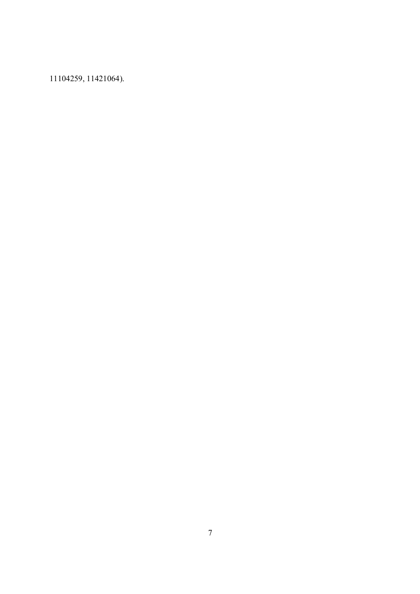11104259, 11421064).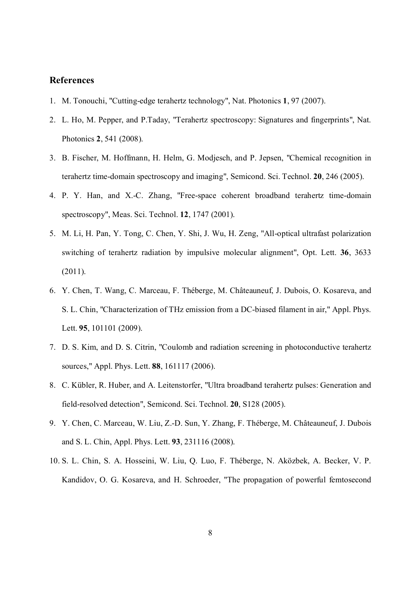## **References**

- 1. M. Tonouchi, "Cutting-edge terahertz technology", Nat. Photonics **1**, 97 (2007).
- 2. L. Ho, M. Pepper, and P.Taday, "Terahertz spectroscopy: Signatures and fingerprints", Nat. Photonics **2**, 541 (2008).
- 3. B. Fischer, M. Hoffmann, H. Helm, G. Modjesch, and P. Jepsen, "Chemical recognition in terahertz time-domain spectroscopy and imaging", Semicond. Sci. Technol. **20**, 246 (2005).
- 4. P. Y. Han, and X.-C. Zhang, "Free-space coherent broadband terahertz time-domain spectroscopy", Meas. Sci. Technol. **12**, 1747 (2001).
- 5. M. Li, H. Pan, Y. Tong, C. Chen, Y. Shi, J. Wu, H. Zeng, "All-optical ultrafast polarization switching of terahertz radiation by impulsive molecular alignment", Opt. Lett. **36**, 3633 (2011).
- 6. Y. Chen, T. Wang, C. Marceau, F. Théberge, M. Châteauneuf, J. Dubois, O. Kosareva, and S. L. Chin, "Characterization of THz emission from a DC-biased filament in air," Appl. Phys. Lett. **95**, 101101 (2009).
- 7. D. S. Kim, and D. S. Citrin, "Coulomb and radiation screening in photoconductive terahertz sources," Appl. Phys. Lett. **88**, 161117 (2006).
- 8. C. Kübler, R. Huber, and A. Leitenstorfer, "Ultra broadband terahertz pulses: Generation and field-resolved detection", Semicond. Sci. Technol. **20**, S128 (2005).
- 9. Y. Chen, C. Marceau, W. Liu, Z.-D. Sun, Y. Zhang, F. Théberge, M. Châteauneuf, J. Dubois and S. L. Chin, Appl. Phys. Lett. **93**, 231116 (2008).
- 10. S. L. Chin, S. A. Hosseini, W. Liu, Q. Luo, F. Théberge, N. Aközbek, A. Becker, V. P. Kandidov, O. G. Kosareva, and H. Schroeder, "The propagation of powerful femtosecond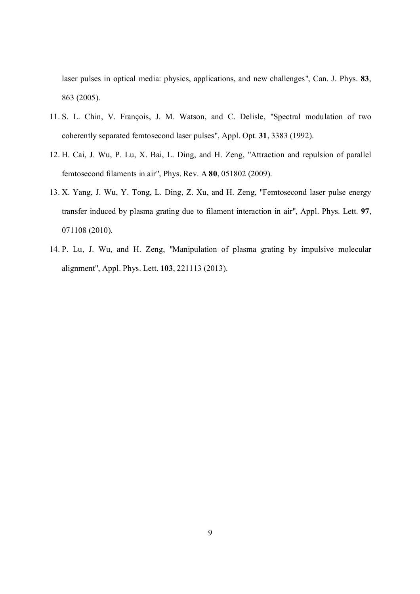laser pulses in optical media: physics, applications, and new challenges", Can. J. Phys. **83**, 863 (2005).

- 11. S. L. Chin, V. François, J. M. Watson, and C. Delisle, "Spectral modulation of two coherently separated femtosecond laser pulses", Appl. Opt. **31**, 3383 (1992).
- 12. H. Cai, J. Wu, P. Lu, X. Bai, L. Ding, and H. Zeng, "Attraction and repulsion of parallel femtosecond filaments in air", Phys. Rev. A **80**, 051802 (2009).
- 13. X. Yang, J. Wu, Y. Tong, L. Ding, Z. Xu, and H. Zeng, "Femtosecond laser pulse energy transfer induced by plasma grating due to filament interaction in air", Appl. Phys. Lett. **97**, 071108 (2010).
- 14. P. Lu, J. Wu, and H. Zeng, "Manipulation of plasma grating by impulsive molecular alignment", Appl. Phys. Lett. **103**, 221113 (2013).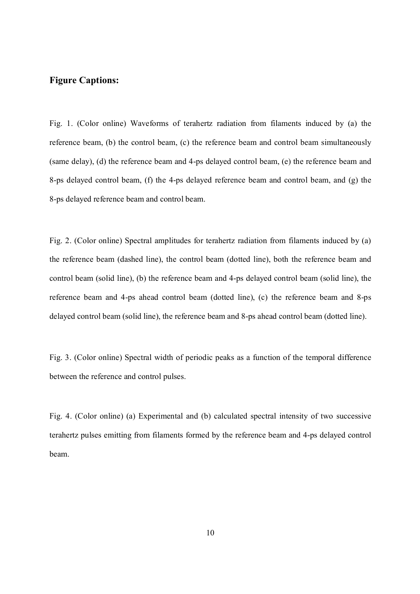## **Figure Captions:**

Fig. 1. (Color online) Waveforms of terahertz radiation from filaments induced by (a) the reference beam, (b) the control beam, (c) the reference beam and control beam simultaneously (same delay), (d) the reference beam and 4-ps delayed control beam, (e) the reference beam and 8-ps delayed control beam, (f) the 4-ps delayed reference beam and control beam, and (g) the 8-ps delayed reference beam and control beam.

Fig. 2. (Color online) Spectral amplitudes for terahertz radiation from filaments induced by (a) the reference beam (dashed line), the control beam (dotted line), both the reference beam and control beam (solid line), (b) the reference beam and 4-ps delayed control beam (solid line), the reference beam and 4-ps ahead control beam (dotted line), (c) the reference beam and 8-ps delayed control beam (solid line), the reference beam and 8-ps ahead control beam (dotted line).

Fig. 3. (Color online) Spectral width of periodic peaks as a function of the temporal difference between the reference and control pulses.

Fig. 4. (Color online) (a) Experimental and (b) calculated spectral intensity of two successive terahertz pulses emitting from filaments formed by the reference beam and 4-ps delayed control beam.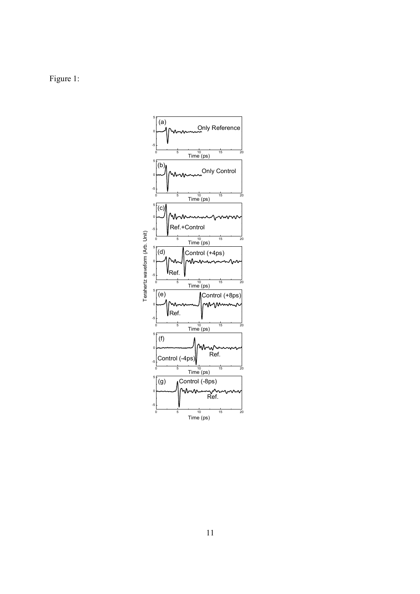Figure 1:

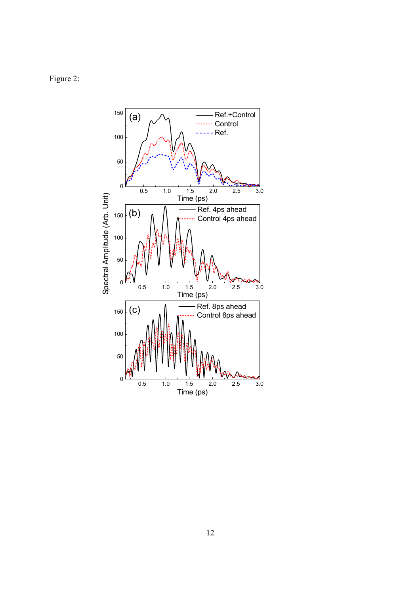Figure 2:

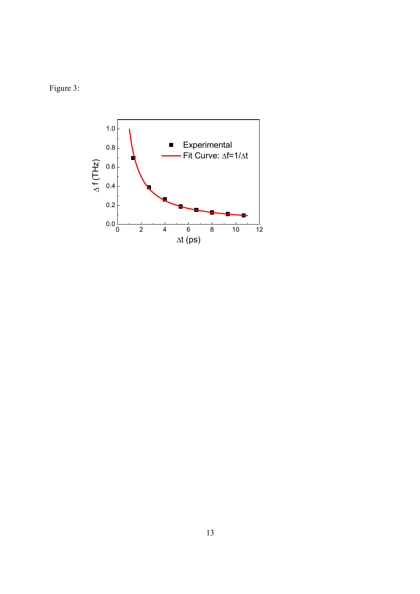Figure 3: